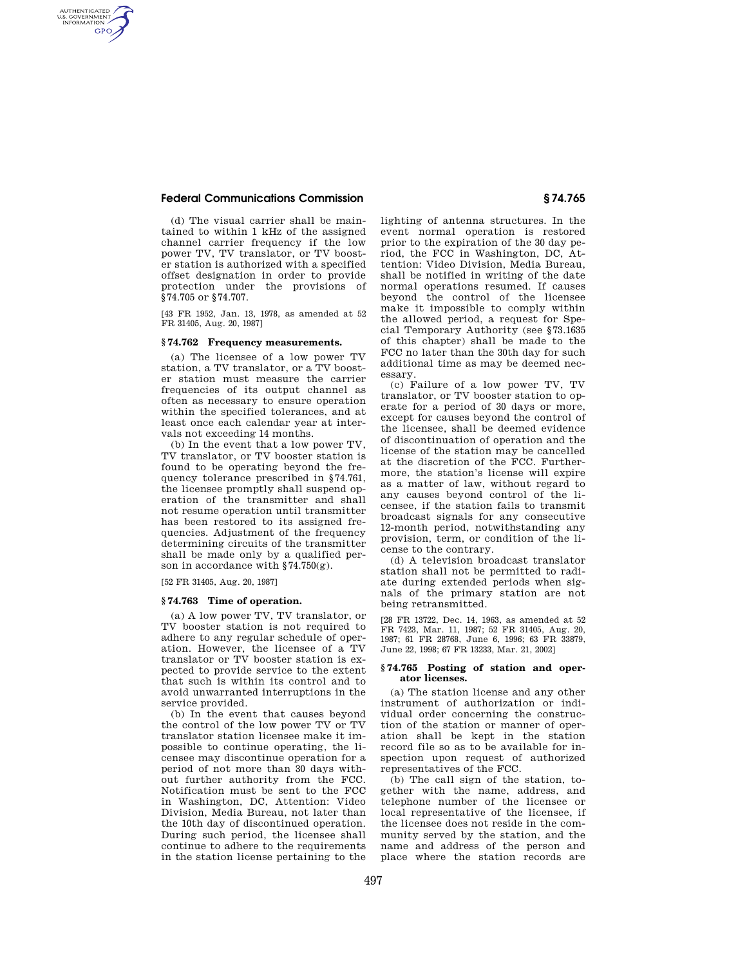# **Federal Communications Commission § 74.765**

AUTHENTICATED<br>U.S. GOVERNMENT<br>INFORMATION **GPO** 

> (d) The visual carrier shall be maintained to within 1 kHz of the assigned channel carrier frequency if the low power TV, TV translator, or TV booster station is authorized with a specified offset designation in order to provide protection under the provisions of §74.705 or §74.707.

[43 FR 1952, Jan. 13, 1978, as amended at 52 FR 31405, Aug. 20, 1987]

### **§ 74.762 Frequency measurements.**

(a) The licensee of a low power TV station, a TV translator, or a TV booster station must measure the carrier frequencies of its output channel as often as necessary to ensure operation within the specified tolerances, and at least once each calendar year at intervals not exceeding 14 months.

(b) In the event that a low power TV, TV translator, or TV booster station is found to be operating beyond the frequency tolerance prescribed in §74.761, the licensee promptly shall suspend operation of the transmitter and shall not resume operation until transmitter has been restored to its assigned frequencies. Adjustment of the frequency determining circuits of the transmitter shall be made only by a qualified person in accordance with §74.750(g).

[52 FR 31405, Aug. 20, 1987]

## **§ 74.763 Time of operation.**

(a) A low power TV, TV translator, or TV booster station is not required to adhere to any regular schedule of operation. However, the licensee of a TV translator or TV booster station is expected to provide service to the extent that such is within its control and to avoid unwarranted interruptions in the service provided.

(b) In the event that causes beyond the control of the low power TV or TV translator station licensee make it impossible to continue operating, the licensee may discontinue operation for a period of not more than 30 days without further authority from the FCC. Notification must be sent to the FCC in Washington, DC, Attention: Video Division, Media Bureau, not later than the 10th day of discontinued operation. During such period, the licensee shall continue to adhere to the requirements in the station license pertaining to the

lighting of antenna structures. In the event normal operation is restored prior to the expiration of the 30 day period, the FCC in Washington, DC, Attention: Video Division, Media Bureau, shall be notified in writing of the date normal operations resumed. If causes beyond the control of the licensee make it impossible to comply within the allowed period, a request for Special Temporary Authority (see §73.1635 of this chapter) shall be made to the FCC no later than the 30th day for such additional time as may be deemed necessary.

(c) Failure of a low power TV, TV translator, or TV booster station to operate for a period of 30 days or more, except for causes beyond the control of the licensee, shall be deemed evidence of discontinuation of operation and the license of the station may be cancelled at the discretion of the FCC. Furthermore, the station's license will expire as a matter of law, without regard to any causes beyond control of the licensee, if the station fails to transmit broadcast signals for any consecutive 12-month period, notwithstanding any provision, term, or condition of the license to the contrary.

(d) A television broadcast translator station shall not be permitted to radiate during extended periods when signals of the primary station are not being retransmitted.

[28 FR 13722, Dec. 14, 1963, as amended at 52 FR 7423, Mar. 11, 1987; 52 FR 31405, Aug. 20, 1987; 61 FR 28768, June 6, 1996; 63 FR 33879, June 22, 1998; 67 FR 13233, Mar. 21, 2002]

## **§ 74.765 Posting of station and operator licenses.**

(a) The station license and any other instrument of authorization or individual order concerning the construction of the station or manner of operation shall be kept in the station record file so as to be available for inspection upon request of authorized representatives of the FCC.

(b) The call sign of the station, together with the name, address, and telephone number of the licensee or local representative of the licensee, if the licensee does not reside in the community served by the station, and the name and address of the person and place where the station records are